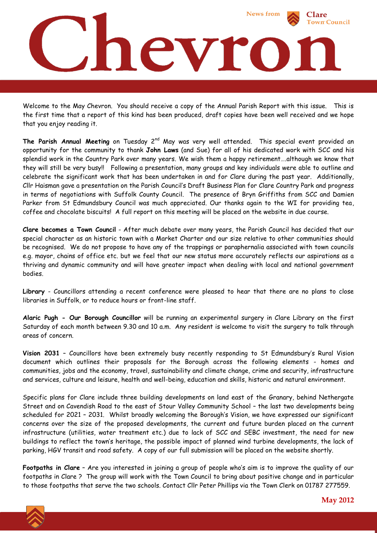

Welcome to the May Chevron. You should receive a copy of the Annual Parish Report with this issue. This is the first time that a report of this kind has been produced, draft copies have been well received and we hope that you enjoy reading it.

The Parish Annual Meeting on Tuesday 2<sup>nd</sup> May was very well attended. This special event provided an opportunity for the community to thank **John Laws** (and Sue) for all of his dedicated work with SCC and his splendid work in the Country Park over many years. We wish them a happy retirement….although we know that they will still be very busy!! Following a presentation, many groups and key individuals were able to outline and celebrate the significant work that has been undertaken in and for Clare during the past year. Additionally, Cllr Haisman gave a presentation on the Parish Council's Draft Business Plan for Clare Country Park and progress in terms of negotiations with Suffolk County Council. The presence of Bryn Griffiths from SCC and Damien Parker from St Edmundsbury Council was much appreciated. Our thanks again to the WI for providing tea, coffee and chocolate biscuits! A full report on this meeting will be placed on the website in due course.

**Clare becomes a Town Council** - After much debate over many years, the Parish Council has decided that our special character as an historic town with a Market Charter and our size relative to other communities should be recognised. We do not propose to have any of the trappings or paraphernalia associated with town councils e.g. mayor, chains of office etc. but we feel that our new status more accurately reflects our aspirations as a thriving and dynamic community and will have greater impact when dealing with local and national government bodies.

**Library** - Councillors attending a recent conference were pleased to hear that there are no plans to close libraries in Suffolk, or to reduce hours or front-line staff.

**Alaric Pugh - Our Borough Councillor** will be running an experimental surgery in Clare Library on the first Saturday of each month between 9.30 and 10 a.m. Any resident is welcome to visit the surgery to talk through areas of concern.

**Vision 2031** – Councillors have been extremely busy recently responding to St Edmundsbury's Rural Vision document which outlines their proposals for the Borough across the following elements - homes and communities, jobs and the economy, travel, sustainability and climate change, crime and security, infrastructure and services, culture and leisure, health and well-being, education and skills, historic and natural environment.

Specific plans for Clare include three building developments on land east of the Granary, behind Nethergate Street and on Cavendish Road to the east of Stour Valley Community School – the last two developments being scheduled for 2021 – 2031. Whilst broadly welcoming the Borough's Vision, we have expressed our significant concerns over the size of the proposed developments, the current and future burden placed on the current infrastructure (utilities, water treatment etc.) due to lack of SCC and SEBC investment, the need for new buildings to reflect the town's heritage, the possible impact of planned wind turbine developments, the lack of parking, HGV transit and road safety. A copy of our full submission will be placed on the website shortly.

**Footpaths in Clare** – Are you interested in joining a group of people who's aim is to improve the quality of our footpaths in Clare ? The group will work with the Town Council to bring about positive change and in particular to those footpaths that serve the two schools. Contact Cllr Peter Phillips via the Town Clerk on 01787 277559.